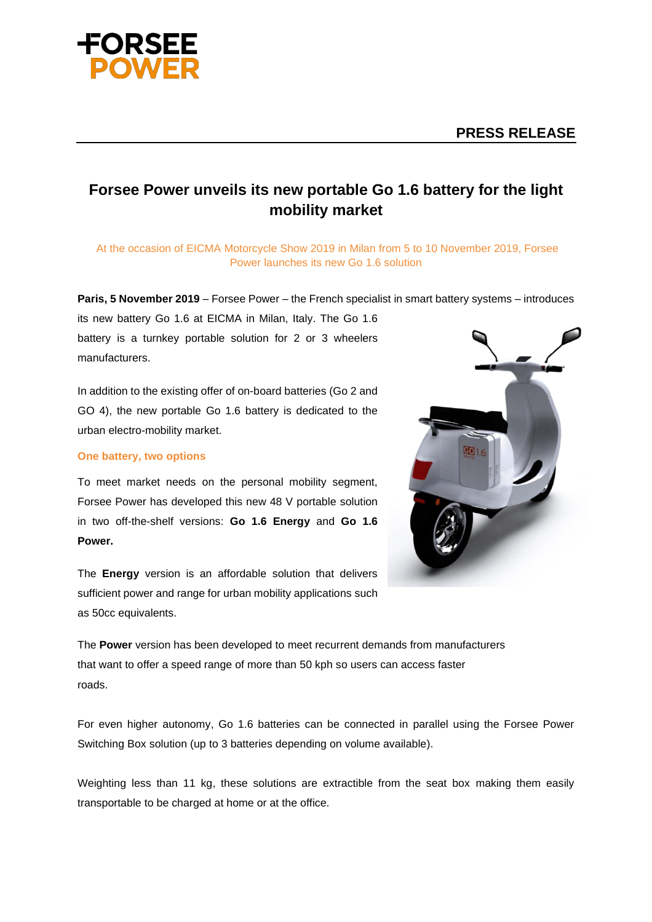

# **Forsee Power unveils its new portable Go 1.6 battery for the light mobility market**

At the occasion of EICMA Motorcycle Show 2019 in Milan from 5 to 10 November 2019, Forsee Power launches its new Go 1.6 solution

**Paris, 5 November 2019** – Forsee Power – the French specialist in smart battery systems – introduces

its new battery Go 1.6 at EICMA in Milan, Italy. The Go 1.6 battery is a turnkey portable solution for 2 or 3 wheelers manufacturers.

In addition to the existing offer of on-board batteries (Go 2 and GO 4), the new portable Go 1.6 battery is dedicated to the urban electro-mobility market.

## **One battery, two options**

To meet market needs on the personal mobility segment, Forsee Power has developed this new 48 V portable solution in two off-the-shelf versions: **Go 1.6 Energy** and **Go 1.6 Power.**

The **Energy** version is an affordable solution that delivers sufficient power and range for urban mobility applications such as 50cc equivalents.



The **Power** version has been developed to meet recurrent demands from manufacturers that want to offer a speed range of more than 50 kph so users can access faster roads.

For even higher autonomy, Go 1.6 batteries can be connected in parallel using the Forsee Power Switching Box solution (up to 3 batteries depending on volume available).

Weighting less than 11 kg, these solutions are extractible from the seat box making them easily transportable to be charged at home or at the office.